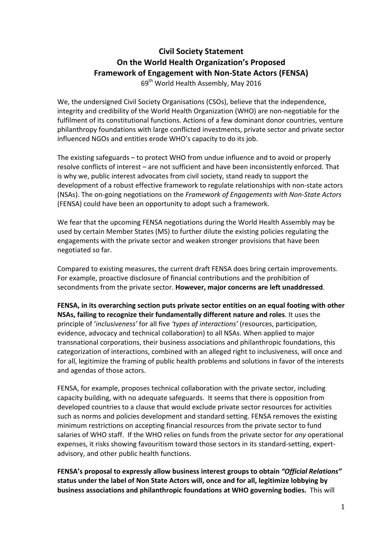## **Civil Society Statement On the World Health Organization's Proposed Framework of Engagement with Non-State Actors (FENSA)**

69<sup>th</sup> World Health Assembly, May 2016

We, the undersigned Civil Society Organisations (CSOs), believe that the independence, integrity and credibility of the World Health Organization (WHO) are non-negotiable for the fulfilment of its constitutional functions. Actions of a few dominant donor countries, venture philanthropy foundations with large conflicted investments, private sector and private sector influenced NGOs and entities erode WHO's capacity to do its job.

The existing safeguards – to protect WHO from undue influence and to avoid or properly resolve conflicts of interest – are not sufficient and have been inconsistently enforced. That is why we, public interest advocates from civil society, stand ready to support the development of a robust effective framework to regulate relationships with non-state actors (NSAs). The on-going negotiations on the Framework of Engagements with Non-State Actors (FENSA) could have been an opportunity to adopt such a framework.

We fear that the upcoming FENSA negotiations during the World Health Assembly may be used by certain Member States (MS) to further dilute the existing policies regulating the engagements with the private sector and weaken stronger provisions that have been negotiated so far.

Compared to existing measures, the current draft FENSA does bring certain improvements. For example, proactive disclosure of financial contributions and the prohibition of secondments from the private sector. However, major concerns are left unaddressed.

**FENSA, in its overarching section puts private sector entities on an equal footing with other NSAs, failing to recognize their fundamentally different nature and roles**. It uses the principle of '*inclusiveness'* for all five '*types of interactions'* (resources, participation, evidence, advocacy and technical collaboration) to all NSAs. When applied to major transnational corporations, their business associations and philanthropic foundations, this categorization of interactions, combined with an alleged right to inclusiveness, will once and for all, legitimize the framing of public health problems and solutions in favor of the interests and agendas of those actors.

FENSA, for example, proposes technical collaboration with the private sector, including capacity building, with no adequate safeguards. It seems that there is opposition from developed countries to a clause that would exclude private sector resources for activities such as norms and policies development and standard setting. FENSA removes the existing minimum restrictions on accepting financial resources from the private sector to fund salaries of WHO staff. If the WHO relies on funds from the private sector for *any* operational expenses, it risks showing favouritism toward those sectors in its standard-setting, expertadvisory, and other public health functions.

FENSA's proposal to expressly allow business interest groups to obtain "Official Relations" status under the label of Non State Actors will, once and for all, legitimize lobbying by **business associations and philanthropic foundations at WHO governing bodies.** This will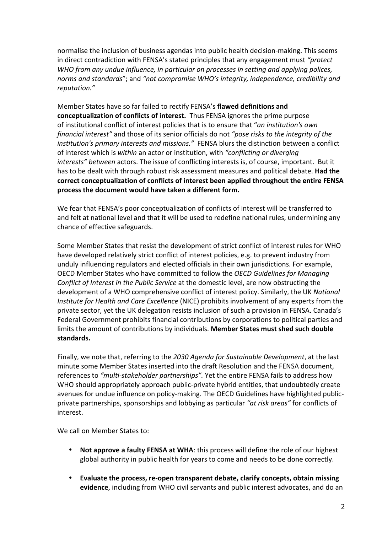normalise the inclusion of business agendas into public health decision-making. This seems in direct contradiction with FENSA's stated principles that any engagement must "protect *WHO* from any undue influence, in particular on processes in setting and applying polices, norms and standards"; and "not compromise WHO's integrity, independence, credibility and *reputation."* 

Member States have so far failed to rectify FENSA's **flawed definitions and conceptualization of conflicts of interest.** Thus FENSA ignores the prime purpose of institutional conflict of interest policies that is to ensure that "an institution's own *financial interest"* and those of its senior officials do not "pose risks to the integrity of the *institution's primary interests and missions.*" FENSA blurs the distinction between a conflict of interest which is within an actor or institution, with "conflicting or diverging *interests" between* actors. The issue of conflicting interests is, of course, important. But it has to be dealt with through robust risk assessment measures and political debate. Had the correct conceptualization of conflicts of interest been applied throughout the entire FENSA process the document would have taken a different form.

We fear that FENSA's poor conceptualization of conflicts of interest will be transferred to and felt at national level and that it will be used to redefine national rules, undermining any chance of effective safeguards.

Some Member States that resist the development of strict conflict of interest rules for WHO have developed relatively strict conflict of interest policies, e.g. to prevent industry from unduly influencing regulators and elected officials in their own jurisdictions. For example, OECD Member States who have committed to follow the *OECD Guidelines for Managing Conflict of Interest in the Public Service* at the domestic level, are now obstructing the development of a WHO comprehensive conflict of interest policy. Similarly, the UK National *Institute for Health and Care Excellence* (NICE) prohibits involvement of any experts from the private sector, yet the UK delegation resists inclusion of such a provision in FENSA. Canada's Federal Government prohibits financial contributions by corporations to political parties and limits the amount of contributions by individuals. Member States must shed such double **standards.**

Finally, we note that, referring to the 2030 Agenda for Sustainable Development, at the last minute some Member States inserted into the draft Resolution and the FENSA document. references to "multi-stakeholder partnerships". Yet the entire FENSA fails to address how WHO should appropriately approach public-private hybrid entities, that undoubtedly create avenues for undue influence on policy-making. The OECD Guidelines have highlighted publicprivate partnerships, sponsorships and lobbying as particular "at risk areas" for conflicts of interest.

We call on Member States to:

- **Not approve a faulty FENSA at WHA:** this process will define the role of our highest global authority in public health for years to come and needs to be done correctly.
- Evaluate the process, re-open transparent debate, clarify concepts, obtain missing evidence, including from WHO civil servants and public interest advocates, and do an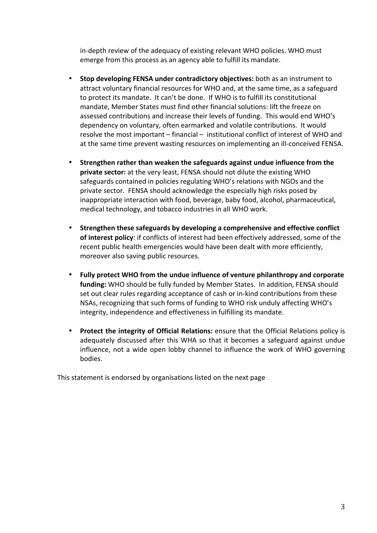in-depth review of the adequacy of existing relevant WHO policies. WHO must emerge from this process as an agency able to fulfill its mandate.

- **Stop developing FENSA under contradictory objectives:** both as an instrument to attract voluntary financial resources for WHO and, at the same time, as a safeguard to protect its mandate. It can't be done. If WHO is to fulfill its constitutional mandate. Member States must find other financial solutions: lift the freeze on assessed contributions and increase their levels of funding. This would end WHO's dependency on voluntary, often earmarked and volatile contributions. It would resolve the most important  $-$  financial  $-$  institutional conflict of interest of WHO and at the same time prevent wasting resources on implementing an ill-conceived FENSA.
- **Strengthen rather than weaken the safeguards against undue influence from the private sector:** at the very least, FENSA should not dilute the existing WHO safeguards contained in policies regulating WHO's relations with NGOs and the private sector. FENSA should acknowledge the especially high risks posed by inappropriate interaction with food, beverage, baby food, alcohol, pharmaceutical, medical technology, and tobacco industries in all WHO work.
- Strengthen these safeguards by developing a comprehensive and effective conflict **of interest policy**: if conflicts of interest had been effectively addressed, some of the recent public health emergencies would have been dealt with more efficiently, moreover also saving public resources.
- Fully protect WHO from the undue influence of venture philanthropy and corporate **funding:** WHO should be fully funded by Member States. In addition, FENSA should set out clear rules regarding acceptance of cash or in-kind contributions from these NSAs, recognizing that such forms of funding to WHO risk unduly affecting WHO's integrity, independence and effectiveness in fulfilling its mandate.
- **Protect the integrity of Official Relations:** ensure that the Official Relations policy is adequately discussed after this WHA so that it becomes a safeguard against undue influence, not a wide open lobby channel to influence the work of WHO governing bodies.

This statement is endorsed by organisations listed on the next page